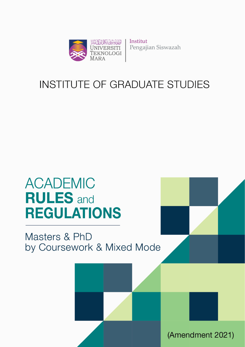

Institut Pengajian Siswazah

# **INSTITUTE OF GRADUATE STUDIES**

# **ACADEMIC RULES** and **REGULATIONS**

# Masters & PhD by Coursework & Mixed Mode

Institute of Postgraduate Studies (IPSis) Universiti Teknologi MARA (Amendment 2021)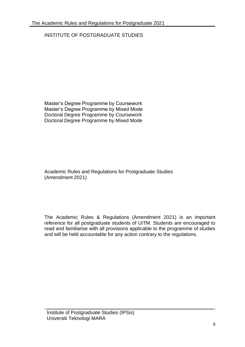# INSTITUTE OF POSTGRADUATE STUDIES

Master's Degree Programme by Coursework Master's Degree Programme by Mixed Mode Doctoral Degree Programme by Coursework Doctoral Degree Programme by Mixed Mode

Academic Rules and Regulations for Postgraduate Studies (Amendment 2021)

The Academic Rules & Regulations (Amendment 2021) is an important reference for all postgraduate students of UiTM. Students are encouraged to read and familiarise with all provisions applicable to the programme of studies and will be held accountable for any action contrary to the regulations.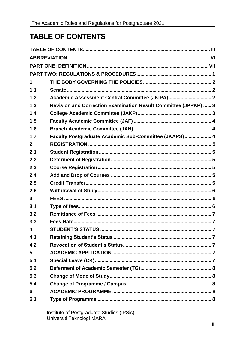# <span id="page-2-0"></span>**TABLE OF CONTENTS**

| 1            |                                                                 |   |
|--------------|-----------------------------------------------------------------|---|
| 1.1          |                                                                 |   |
| 1.2          | Academic Assessment Central Committee (JKIPA) 2                 |   |
| 1.3          | Revision and Correction Examination Result Committee (JPPKP)  3 |   |
| 1.4          |                                                                 |   |
| 1.5          |                                                                 |   |
| 1.6          |                                                                 |   |
| 1.7          | Faculty Postgraduate Academic Sub-Committee (JKAPS) 4           |   |
| $\mathbf{2}$ |                                                                 |   |
| 2.1          |                                                                 |   |
| 2.2          |                                                                 |   |
| 2.3          |                                                                 |   |
| 2.4          |                                                                 |   |
| 2.5          |                                                                 |   |
| 2.6          |                                                                 |   |
| 3            |                                                                 |   |
| 3.1          |                                                                 |   |
| 3.2          |                                                                 |   |
| 3.3          |                                                                 |   |
| 4            | <b>STUDENT'S STATUS</b>                                         | 7 |
| 4.1          |                                                                 |   |
| 4.2          |                                                                 |   |
| 5            |                                                                 |   |
| 5.1          |                                                                 |   |
| 5.2          |                                                                 |   |
| 5.3          |                                                                 |   |
| 5.4          |                                                                 |   |
| 6            |                                                                 |   |
| 6.1          |                                                                 |   |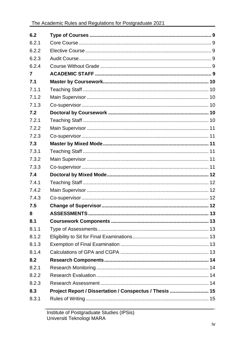| 6.2   |                                                         |  |
|-------|---------------------------------------------------------|--|
| 6.2.1 |                                                         |  |
| 6.2.2 |                                                         |  |
| 6.2.3 |                                                         |  |
| 6.2.4 |                                                         |  |
| 7     |                                                         |  |
| 7.1   |                                                         |  |
| 7.1.1 |                                                         |  |
| 7.1.2 |                                                         |  |
| 7.1.3 |                                                         |  |
| 7.2   |                                                         |  |
| 7.2.1 |                                                         |  |
| 7.2.2 |                                                         |  |
| 7.2.3 |                                                         |  |
| 7.3   |                                                         |  |
| 7.3.1 |                                                         |  |
| 7.3.2 |                                                         |  |
| 7.3.3 |                                                         |  |
| 7.4   |                                                         |  |
| 7.4.1 |                                                         |  |
| 7.4.2 |                                                         |  |
| 7.4.3 |                                                         |  |
| 7.5   |                                                         |  |
| 8     |                                                         |  |
| 8.1   |                                                         |  |
| 8.1.1 |                                                         |  |
| 8.1.2 |                                                         |  |
| 8.1.3 |                                                         |  |
| 8.1.4 |                                                         |  |
| 8.2   |                                                         |  |
| 8.2.1 |                                                         |  |
| 8.2.2 |                                                         |  |
| 8.2.3 |                                                         |  |
| 8.3   | Project Report / Dissertation / Conspectus / Thesis  15 |  |
| 8.3.1 |                                                         |  |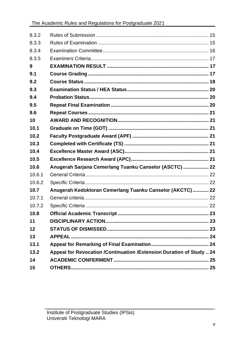| 8.3.2  |                                                                      |  |
|--------|----------------------------------------------------------------------|--|
| 8.3.3  |                                                                      |  |
| 8.3.4  |                                                                      |  |
| 8.3.5  |                                                                      |  |
| 9      |                                                                      |  |
| 9.1    |                                                                      |  |
| 9.2    |                                                                      |  |
| 9.3    |                                                                      |  |
| 9.4    |                                                                      |  |
| 9.5    |                                                                      |  |
| 9.6    |                                                                      |  |
| 10     |                                                                      |  |
| 10.1   |                                                                      |  |
| 10.2   |                                                                      |  |
| 10.3   |                                                                      |  |
| 10.4   |                                                                      |  |
| 10.5   |                                                                      |  |
| 10.6   | Anugerah Sarjana Cemerlang Tuanku Canselor (ASCTC)  22               |  |
| 10.6.1 |                                                                      |  |
| 10.6.2 |                                                                      |  |
| 10.7   | Anugerah Kedoktoran Cemerlang Tuanku Canselor (AKCTC)  22            |  |
| 10.7.1 |                                                                      |  |
| 10.7.2 |                                                                      |  |
| 10.8   |                                                                      |  |
| 11     |                                                                      |  |
| 12     |                                                                      |  |
| 13     |                                                                      |  |
| 13.1   |                                                                      |  |
| 13.2   | Appeal for Revocation /Continuation /Extension Duration of Study  24 |  |
| 14     |                                                                      |  |
| 15     |                                                                      |  |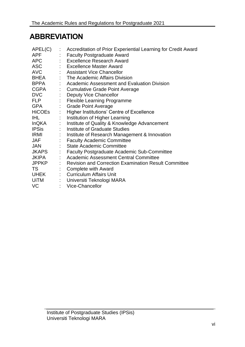# <span id="page-5-0"></span>**ABBREVIATION**

| APEL(C)       | $\mathbb{R}^n$              | Accreditation of Prior Experiential Learning for Credit Award |
|---------------|-----------------------------|---------------------------------------------------------------|
| <b>APF</b>    |                             | <b>Faculty Postgraduate Award</b>                             |
| <b>APC</b>    |                             | : Excellence Research Award                                   |
| <b>ASC</b>    |                             | : Excellence Master Award                                     |
| <b>AVC</b>    |                             | : Assistant Vice Chancellor                                   |
| BHEA          |                             | : The Academic Affairs Division                               |
| <b>BPPA</b>   |                             | : Academic Assessment and Evaluation Division                 |
| <b>CGPA</b>   |                             | : Cumulative Grade Point Average                              |
| <b>DVC</b>    |                             | <b>Deputy Vice Chancellor</b>                                 |
| <b>FLP</b>    | $\mathbb{Z}^{\mathbb{Z}}$   | <b>Flexible Learning Programme</b>                            |
| <b>GPA</b>    | $\mathbb{Z}^{\mathbb{Z}^n}$ | <b>Grade Point Average</b>                                    |
| <b>HiCOEs</b> | $\mathbb{Z}^n$ .            | <b>Higher Institutions' Centre of Excellence</b>              |
| IHL.          |                             | Institution of Higher Learning                                |
| <b>InQKA</b>  | $\mathbb{Z}^{\mathbb{Z}}$   | Institute of Quality & Knowledge Advancement                  |
| <b>IPSis</b>  |                             | Institute of Graduate Studies                                 |
| <b>IRMI</b>   |                             | Institute of Research Management & Innovation                 |
| <b>JAF</b>    |                             | <b>Faculty Academic Committee</b>                             |
| <b>JAN</b>    |                             | <b>State Academic Committee</b>                               |
| JKAPS         |                             | <b>Faculty Postgraduate Academic Sub-Committee</b>            |
| <b>JKIPA</b>  |                             | : Academic Assessment Central Committee                       |
| <b>JPPKP</b>  |                             | <b>Revision and Correction Examination Result Committee</b>   |
| TS            |                             | <b>Complete with Award</b>                                    |
| UHEK          |                             | <b>Curriculum Affairs Unit</b>                                |
| <b>UiTM</b>   |                             | Universiti Teknologi MARA                                     |
| <b>VC</b>     |                             | Vice-Chancellor                                               |
|               |                             |                                                               |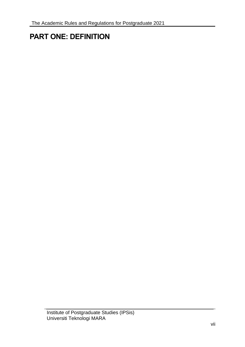# <span id="page-6-0"></span>**PART ONE: DEFINITION**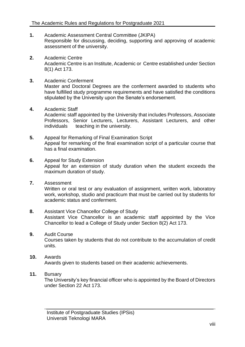- **1.** Academic Assessment Central Committee (JKIPA) Responsible for discussing, deciding, supporting and approving of academic assessment of the university.
- **2.** Academic Centre Academic Centre is an Institute, Academic or Centre established under Section 8(1) Act 173.
- **3.** Academic Conferment Master and Doctoral Degrees are the conferment awarded to students who have fulfilled study programme requirements and have satisfied the conditions stipulated by the University upon the Senate's endorsement.
- **4.** Academic Staff Academic staff appointed by the University that includes Professors, Associate Professors, Senior Lecturers, Lecturers, Assistant Lecturers, and other individuals teaching in the university.
- **5.** Appeal for Remarking of Final Examination Script Appeal for remarking of the final examination script of a particular course that has a final examination.
- **6.** Appeal for Study Extension Appeal for an extension of study duration when the student exceeds the maximum duration of study.
- **7.** Assessment Written or oral test or any evaluation of assignment, written work, laboratory work, workshop, studio and practicum that must be carried out by students for academic status and conferment.
- **8.** Assistant Vice Chancellor College of Study Assistant Vice Chancellor is an academic staff appointed by the Vice Chancellor to lead a College of Study under Section 8(2) Act 173.
- **9.** Audit Course

Courses taken by students that do not contribute to the accumulation of credit units.

# **10.** Awards Awards given to students based on their academic achievements.

# **11.** Bursary

The University's key financial officer who is appointed by the Board of Directors under Section 22 Act 173.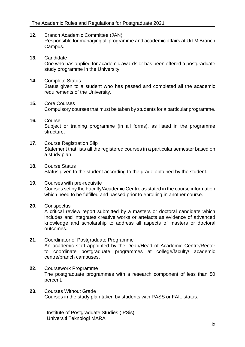- **12.** Branch Academic Committee (JAN) Responsible for managing all programme and academic affairs at UiTM Branch Campus.
- **13.** Candidate One who has applied for academic awards or has been offered a postgraduate study programme in the University.
- **14.** Complete Status Status given to a student who has passed and completed all the academic requirements of the University.
- **15.** Core Courses Compulsory courses that must be taken by students for a particular programme.
- **16.** Course Subject or training programme (in all forms), as listed in the programme structure.
- **17.** Course Registration Slip Statement that lists all the registered courses in a particular semester based on a study plan.
- **18.** Course Status Status given to the student according to the grade obtained by the student.
- **19.** Courses with pre-requisite Courses set by the Faculty/Academic Centre as stated in the course information which need to be fulfilled and passed prior to enrolling in another course.
- **20.** Conspectus

A critical review report submitted by a masters or doctoral candidate which includes and integrates creative works or artefacts as evidence of advanced knowledge and scholarship to address all aspects of masters or doctoral outcomes.

- **21.** Coordinator of Postgraduate Programme An academic staff appointed by the Dean/Head of Academic Centre/Rector to coordinate postgraduate programmes at college/faculty/ academic centre/branch campuses.
- **22.** Coursework Programme The postgraduate programmes with a research component of less than 50 percent.
- **23.** Courses Without Grade Courses in the study plan taken by students with PASS or FAIL status.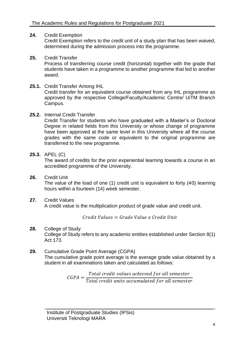# **24.** Credit Exemption

Credit Exemption refers to the credit unit of a study plan that has been waived, determined during the admission process into the programme.

# **25.** Credit Transfer

Process of transferring course credit (horizontal) together with the grade that students have taken in a programme to another programme that led to another award.

# **25.1.** Credit Transfer Among IHL

Credit transfer for an equivalent course obtained from any IHL programme as approved by the respective College/Faculty/Academic Centre/ UiTM Branch Campus.

#### **25.2.** Internal Credit Transfer

Credit Transfer for students who have graduated with a Master's or Doctoral Degree in related fields from this University or whose change of programme have been approved at the same level in this University where all the course grades with the same code or equivalent to the original programme are transferred to the new programme.

#### **25.3.** APEL (C)

The award of credits for the prior experiential learning towards a course in an accredited programme of the University.

**26.** Credit Unit

The value of the load of one (1) credit unit is equivalent to forty (40) learning hours within a fourteen (14) week semester.

**27.** Credit Values

A credit value is the multiplication product of grade value and credit unit.

 $Credit Values = Grade Value \times Credit Unit$ 

# **28.** College of Study

College of Study refers to any academic entities established under Section 8(1) Act 173.

**29.** Cumulative Grade Point Average (CGPA) The cumulative grade point average is the average grade value obtained by a student in all examinations taken and calculated as follows:

> $CGPA =$ Total credit values achieved for all semester Total credit units accumulated for all semester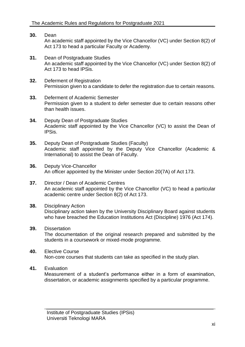- **30.** Dean An academic staff appointed by the Vice Chancellor (VC) under Section 8(2) of Act 173 to head a particular Faculty or Academy.
- **31.** Dean of Postgraduate Studies An academic staff appointed by the Vice Chancellor (VC) under Section 8(2) of Act 173 to head IPSis.
- **32.** Deferment of Registration Permission given to a candidate to defer the registration due to certain reasons.
- **33.** Deferment of Academic Semester Permission given to a student to defer semester due to certain reasons other than health issues.
- **34.** Deputy Dean of Postgraduate Studies Academic staff appointed by the Vice Chancellor (VC) to assist the Dean of IPSis.
- **35.** Deputy Dean of Postgraduate Studies (Faculty) Academic staff appointed by the Deputy Vice Chancellor (Academic & International) to assist the Dean of Faculty.
- **36.** Deputy Vice-Chancellor An officer appointed by the Minister under Section 20(7A) of Act 173.
- **37.** Director / Dean of Academic Centres An academic staff appointed by the Vice Chancellor (VC) to head a particular academic centre under Section 8(2) of Act 173.
- **38.** Disciplinary Action Disciplinary action taken by the University Disciplinary Board against students who have breached the Education Institutions Act (Discipline) 1976 (Act 174).
- **39.** Dissertation The documentation of the original research prepared and submitted by the students in a coursework or mixed-mode programme.
- **40.** Elective Course Non-core courses that students can take as specified in the study plan.
- **41.** Evaluation

Measurement of a student's performance either in a form of examination, dissertation, or academic assignments specified by a particular programme.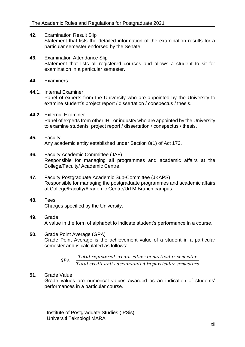- **42.** Examination Result Slip Statement that lists the detailed information of the examination results for a particular semester endorsed by the Senate.
- **43.** Examination Attendance Slip Statement that lists all registered courses and allows a student to sit for examination in a particular semester.
- **44.** Examiners
- **44.1.** Internal Examiner Panel of experts from the University who are appointed by the University to examine student's project report / dissertation / conspectus / thesis.
- **44.2.** External Examiner Panel of experts from other IHL or industry who are appointed by the University to examine students' project report / dissertation / conspectus / thesis.
- **45.** Faculty Any academic entity established under Section 8(1) of Act 173.
- **46.** Faculty Academic Committee (JAF) Responsible for managing all programmes and academic affairs at the College/Faculty/ Academic Centre.
- **47.** Faculty Postgraduate Academic Sub-Committee (JKAPS) Responsible for managing the postgraduate programmes and academic affairs at College/Faculty/Academic Centre/UiTM Branch campus.
- **48.** Fees Charges specified by the University.
- **49.** Grade A value in the form of alphabet to indicate student's performance in a course.
- **50.** Grade Point Average (GPA) Grade Point Average is the achievement value of a student in a particular semester and is calculated as follows:

 $GPA =$ Total registered credit values in particular semester Total credit units accumulated in particular semesters

**51.** Grade Value

Grade values are numerical values awarded as an indication of students' performances in a particular course.

Institute of Postgraduate Studies (IPSis) Universiti Teknologi MARA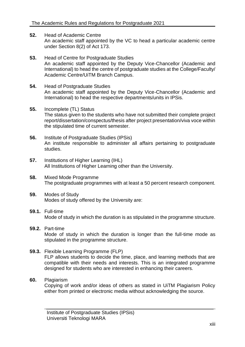- **52.** Head of Academic Centre An academic staff appointed by the VC to head a particular academic centre under Section 8(2) of Act 173.
- **53.** Head of Centre for Postgraduate Studies An academic staff appointed by the Deputy Vice-Chancellor (Academic and International) to head the centre of postgraduate studies at the College/Faculty/ Academic Centre/UiTM Branch Campus.
- **54.** Head of Postgraduate Studies An academic staff appointed by the Deputy Vice-Chancellor (Academic and International) to head the respective departments/units in IPSis.
- **55.** Incomplete (TL) Status The status given to the students who have not submitted their complete project report/dissertation/conspectus/thesis after project presentation/viva voce within the stipulated time of current semester.
- **56.** Institute of Postgraduate Studies (IPSis) An institute responsible to administer all affairs pertaining to postgraduate studies.
- **57.** Institutions of Higher Learning (IHL) All Institutions of Higher Learning other than the University.
- **58.** Mixed Mode Programme The postgraduate programmes with at least a 50 percent research component.
- **59.** Modes of Study Modes of study offered by the University are:
- **59.1.** Full-time Mode of study in which the duration is as stipulated in the programme structure.
- **59.2.** Part-time Mode of study in which the duration is longer than the full-time mode as stipulated in the programme structure.
- **59.3.** Flexible Learning Programme (FLP) FLP allows students to decide the time, place, and learning methods that are compatible with their needs and interests. This is an integrated programme designed for students who are interested in enhancing their careers.
- **60.** Plagiarism

Copying of work and/or ideas of others as stated in UiTM Plagiarism Policy either from printed or electronic media without acknowledging the source.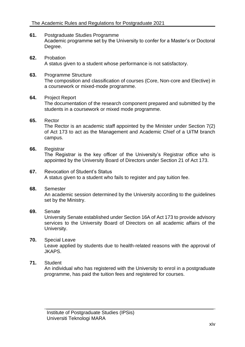- **61.** Postgraduate Studies Programme Academic programme set by the University to confer for a Master's or Doctoral Degree.
- **62.** Probation A status given to a student whose performance is not satisfactory.
- **63.** Programme Structure The composition and classification of courses (Core, Non-core and Elective) in a coursework or mixed-mode programme.

#### **64.** Project Report

The documentation of the research component prepared and submitted by the students in a coursework or mixed mode programme.

#### **65.** Rector

The Rector is an academic staff appointed by the Minister under Section 7(2) of Act 173 to act as the Management and Academic Chief of a UiTM branch campus.

#### **66.** Registrar

The Registrar is the key officer of the University's Registrar office who is appointed by the University Board of Directors under Section 21 of Act 173.

**67.** Revocation of Student's Status A status given to a student who fails to register and pay tuition fee.

# **68.** Semester

An academic session determined by the University according to the guidelines set by the Ministry.

# **69.** Senate

University Senate established under Section 16A of Act 173 to provide advisory services to the University Board of Directors on all academic affairs of the University.

# **70.** Special Leave

Leave applied by students due to health-related reasons with the approval of JKAPS.

# **71.** Student

An individual who has registered with the University to enrol in a postgraduate programme, has paid the tuition fees and registered for courses.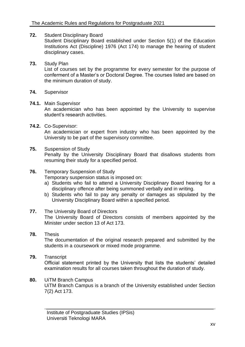- **72.** Student Disciplinary Board Student Disciplinary Board established under Section 5(1) of the Education Institutions Act (Discipline) 1976 (Act 174) to manage the hearing of student disciplinary cases.
- **73.** Study Plan

List of courses set by the programme for every semester for the purpose of conferment of a Master's or Doctoral Degree. The courses listed are based on the minimum duration of study.

**74.** Supervisor

#### **74.1.** Main Supervisor

An academician who has been appointed by the University to supervise student's research activities.

**74.2.** Co-Supervisor:

An academician or expert from industry who has been appointed by the University to be part of the supervisory committee.

**75.** Suspension of Study

Penalty by the University Disciplinary Board that disallows students from resuming their study for a specified period.

**76.** Temporary Suspension of Study

Temporary suspension status is imposed on:

- a) Students who fail to attend a University Disciplinary Board hearing for a disciplinary offence after being summoned verbally and in writing.
- b) Students who fail to pay any penalty or damages as stipulated by the University Disciplinary Board within a specified period.
- **77.** The University Board of Directors

The University Board of Directors consists of members appointed by the Minister under section 13 of Act 173.

- **78.** Thesis The documentation of the original research prepared and submitted by the students in a coursework or mixed mode programme.
- **79.** Transcript Official statement printed by the University that lists the students' detailed examination results for all courses taken throughout the duration of study.
- **80.** UiTM Branch Campus UiTM Branch Campus is a branch of the University established under Section 7(2) Act 173.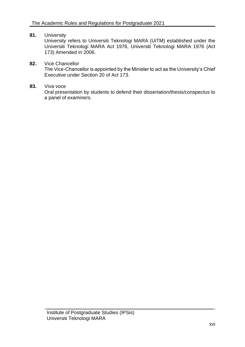# **81.** University

University refers to Universiti Teknologi MARA (UiTM) established under the Universiti Teknologi MARA Act 1976, Universiti Teknologi MARA 1976 (Act 173) Amended in 2006.

#### **82.** Vice Chancellor

The Vice-Chancellor is appointed by the Minister to act as the University's Chief Executive under Section 20 of Act 173.

#### **83.** Viva voce

Oral presentation by students to defend their dissertation/thesis/conspectus to a panel of examiners.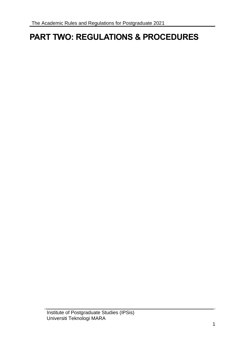# <span id="page-16-0"></span>**PART TWO: REGULATIONS & PROCEDURES**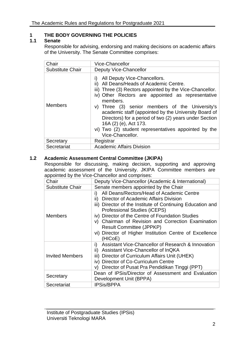# <span id="page-17-0"></span>**1 THE BODY GOVERNING THE POLICIES**

# <span id="page-17-1"></span>**1.1 Senate**

Responsible for advising, endorsing and making decisions on academic affairs of the University. The Senate Committee comprises:

| Chair                   | Vice-Chancellor                                                                                                                                                                                                                                                                                                                                                                                                                                                                 |
|-------------------------|---------------------------------------------------------------------------------------------------------------------------------------------------------------------------------------------------------------------------------------------------------------------------------------------------------------------------------------------------------------------------------------------------------------------------------------------------------------------------------|
| <b>Substitute Chair</b> | <b>Deputy Vice-Chancellor</b>                                                                                                                                                                                                                                                                                                                                                                                                                                                   |
| <b>Members</b>          | All Deputy Vice-Chancellors.<br>Ð<br>All Deans/Heads of Academic Centre.<br>iii) Three (3) Rectors appointed by the Vice-Chancellor.<br>iv) Other Rectors are appointed as representative<br>members.<br>v) Three (3) senior members of the University's<br>academic staff (appointed by the University Board of<br>Directors) for a period of two (2) years under Section<br>16A (2) (e), Act 173.<br>vi) Two (2) student representatives appointed by the<br>Vice-Chancellor. |
| Secretary               | Registrar                                                                                                                                                                                                                                                                                                                                                                                                                                                                       |
| Secretariat             | <b>Academic Affairs Division</b>                                                                                                                                                                                                                                                                                                                                                                                                                                                |

# <span id="page-17-2"></span>**1.2 Academic Assessment Central Committee (JKIPA)**

Responsible for discussing, making decision, supporting and approving academic assessment of the University. JKIPA Committee members are appointed by the Vice-Chancellor and comprises:

| Chair                   | Deputy Vice-Chancellor (Academic & International)                                                                                                                                                                                                                                                                                                                                                                |
|-------------------------|------------------------------------------------------------------------------------------------------------------------------------------------------------------------------------------------------------------------------------------------------------------------------------------------------------------------------------------------------------------------------------------------------------------|
| <b>Substitute Chair</b> | Senate members appointed by the Chair                                                                                                                                                                                                                                                                                                                                                                            |
| <b>Members</b>          | All Deans/Rectors/Head of Academic Centre<br>I)<br>Director of Academic Affairs Division<br>ii)<br>iii) Director of the Institute of Continuing Education and<br>Professional Studies (iCEPS)<br>iv) Director of the Centre of Foundation Studies<br>v) Chairman of Revision and Correction Examination<br><b>Result Committee (JPPKP)</b><br>vi) Director of Higher Institution Centre of Excellence<br>(HICoE) |
| <b>Invited Members</b>  | Assistant Vice-Chancellor of Research & Innovation<br>i).<br>Assistant Vice-Chancellor of InQKA<br>ii)<br>iii) Director of Curriculum Affairs Unit (UHEK)<br>iv) Director of Co-Curriculum Centre<br>Director of Pusat Pra Pendidikan Tinggi (PPT)<br>V)                                                                                                                                                         |
| Secretary               | Dean of IPSis/Director of Assessment and Evaluation<br>Development Unit (BPPA)                                                                                                                                                                                                                                                                                                                                   |
| Secretariat             | <b>IPSis/BPPA</b>                                                                                                                                                                                                                                                                                                                                                                                                |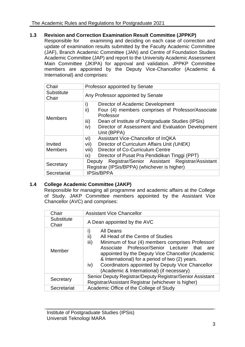# <span id="page-18-0"></span>**1.3 Revision and Correction Examination Result Committee (JPPKP)**

Responsible for examining and deciding on each case of correction and update of examination results submitted by the Faculty Academic Committee (JAF), Branch Academic Committee (JAN) and Centre of Foundation Studies Academic Committee (JAP) and report to the University Academic Assessment Main Committee (JKIPA) for approval and validation. JPPKP Committee members are appointed by the Deputy Vice-Chancellor (Academic & International) and comprises:

| Chair                     | Professor appointed by Senate                                                                                                                                                                                                                           |
|---------------------------|---------------------------------------------------------------------------------------------------------------------------------------------------------------------------------------------------------------------------------------------------------|
| Substitute<br>Chair       | Any Professor appointed by Senate                                                                                                                                                                                                                       |
| <b>Members</b>            | i)<br>Director of Academic Development<br>ii)<br>Four (4) members comprises of Professor/Associate<br>Professor<br>iii)<br>Dean of Institute of Postgraduate Studies (IPSis)<br>iv)<br>Director of Assessment and Evaluation Development<br>Unit (BPPA) |
| Invited<br><b>Members</b> | Assistant Vice-Chancellor of InQKA<br>vi)<br>vii)<br>Director of Curriculum Affairs Unit (UHEK)<br>viii)<br>Director of Co-Curriculum Centre<br>Director of Pusat Pra Pendidikan Tinggi (PPT)<br>$\mathsf{ix}$                                          |
| Secretary                 | Registrar/Senior Assistant Registrar/Assistant<br>Deputy<br>Registrar (IPSis/BPPA) (whichever is higher)                                                                                                                                                |
| Secretariat               | <b>IPSis/BPPA</b>                                                                                                                                                                                                                                       |

# <span id="page-18-1"></span>**1.4 College Academic Committee (JAKP)**

Responsible for managing all programme and academic affairs at the College of Study. JAKP Committee members appointed by the Assistant Vice Chancellor (AVC) and comprises:

| Chair               | <b>Assistant Vice Chancellor</b>                                                                                                                                                                                                                                                                                                                                                              |
|---------------------|-----------------------------------------------------------------------------------------------------------------------------------------------------------------------------------------------------------------------------------------------------------------------------------------------------------------------------------------------------------------------------------------------|
| Substitute<br>Chair | A Dean appointed by the AVC                                                                                                                                                                                                                                                                                                                                                                   |
| Member              | All Deans<br>i)<br>All Head of the Centre of Studies<br>II)<br>iii)<br>Minimum of four (4) members comprises Professor/<br>Associate Professor/Senior Lecturer<br>that<br>are<br>appointed by the Deputy Vice Chancellor (Academic<br>& International) for a period of two (2) years.<br>Coordinators appointed by Deputy Vice Chancellor<br>iv)<br>(Academic & International) (if necessary) |
| Secretary           | Senior Deputy Registrar/Deputy Registrar/Senior Assistant<br>Registrar/Assistant Registrar (whichever is higher)                                                                                                                                                                                                                                                                              |
| Secretariat         | Academic Office of the College of Study                                                                                                                                                                                                                                                                                                                                                       |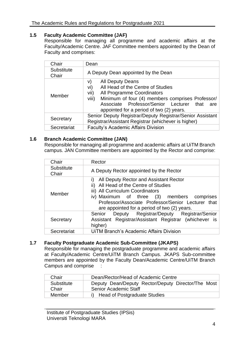# <span id="page-19-0"></span>**1.5 Faculty Academic Committee (JAF)**

Responsible for managing all programme and academic affairs at the Faculty/Academic Centre. JAF Committee members appointed by the Dean of Faculty and comprises:

| Chair               | Dean                                                                                                                                                                                                                                                                 |
|---------------------|----------------------------------------------------------------------------------------------------------------------------------------------------------------------------------------------------------------------------------------------------------------------|
| Substitute<br>Chair | A Deputy Dean appointed by the Dean                                                                                                                                                                                                                                  |
| Member              | All Deputy Deans<br>V)<br>All Head of the Centre of Studies<br>vi)<br>vii)<br>All Programme Coordinators<br>viii)<br>Minimum of four (4) members comprises Professor/<br>Associate Professor/Senior Lecturer that<br>are<br>appointed for a period of two (2) years. |
| Secretary           | Senior Deputy Registrar/Deputy Registrar/Senior Assistant<br>Registrar/Assistant Registrar (whichever is higher)                                                                                                                                                     |
| Secretariat         | <b>Faculty's Academic Affairs Division</b>                                                                                                                                                                                                                           |

# <span id="page-19-1"></span>**1.6 Branch Academic Committee (JAN)**

Responsible for managing all programme and academic affairs at UiTM Branch campus. JAN Committee members are appointed by the Rector and comprise:

| Chair               | Rector                                                                                                                                                                                                                                                                        |
|---------------------|-------------------------------------------------------------------------------------------------------------------------------------------------------------------------------------------------------------------------------------------------------------------------------|
| Substitute<br>Chair | A Deputy Rector appointed by the Rector                                                                                                                                                                                                                                       |
| Member              | All Deputy Rector and Assistant Rector<br>I)<br>ii) All Head of the Centre of Studies<br>iii) All Curriculum Coordinators<br>iv) Maximum of three (3) members comprises<br>Professor/Associate Professor/Senior Lecturer that<br>are appointed for a period of two (2) years. |
| Secretary           | Deputy Registrar/Deputy Registrar/Senior<br>Senior<br>Assistant Registrar/Assistant Registrar (whichever is<br>higher)                                                                                                                                                        |
| Secretariat         | <b>UITM Branch's Academic Affairs Division</b>                                                                                                                                                                                                                                |

# <span id="page-19-2"></span>**1.7 Faculty Postgraduate Academic Sub-Committee (JKAPS)**

Responsible for managing the postgraduate programme and academic affairs at Faculty/Academic Centre/UiTM Branch Campus. JKAPS Sub-committee members are appointed by the Faculty Dean/Academic Centre/UiTM Branch Campus and comprise :

| Chair      | Dean/Rector/Head of Academic Centre                |
|------------|----------------------------------------------------|
| Substitute | Deputy Dean/Deputy Rector/Deputy Director/The Most |
| Chair      | <b>Senior Academic Staff</b>                       |
| Member     | i) Head of Postgraduate Studies                    |

Institute of Postgraduate Studies (IPSis) Universiti Teknologi MARA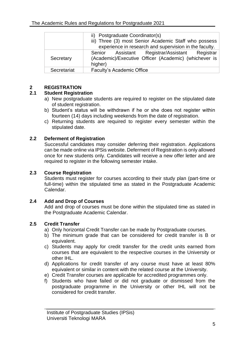|             | ii) Postgraduate Coordinator(s)                        |
|-------------|--------------------------------------------------------|
|             | iii) Three (3) most Senior Academic Staff who possess  |
|             | experience in research and supervision in the faculty. |
|             | Senior Assistant Registrar/Assistant Registrar         |
| Secretary   | (Academic)/Executive Officer (Academic) (whichever is  |
|             | higher)                                                |
| Secretariat | Faculty's Academic Office                              |
|             |                                                        |

# <span id="page-20-0"></span>**2 REGISTRATION**

# <span id="page-20-1"></span>**2.1 Student Registration**

- a) New postgraduate students are required to register on the stipulated date of student registration.
- b) Student's status will be withdrawn if he or she does not register within fourteen (14) days including weekends from the date of registration.
- c) Returning students are required to register every semester within the stipulated date.

# <span id="page-20-2"></span>**2.2 Deferment of Registration**

Successful candidates may consider deferring their registration. Applications can be made online via IPSis website. Deferment of Registration is only allowed once for new students only. Candidates will receive a new offer letter and are required to register in the following semester intake.

# <span id="page-20-3"></span>**2.3 Course Registration**

Students must register for courses according to their study plan (part-time or full-time) within the stipulated time as stated in the Postgraduate Academic Calendar.

# <span id="page-20-4"></span>**2.4 Add and Drop of Courses**

Add and drop of courses must be done within the stipulated time as stated in the Postgraduate Academic Calendar.

# <span id="page-20-5"></span>**2.5 Credit Transfer**

- a) Only horizontal Credit Transfer can be made by Postgraduate courses.
- b) The minimum grade that can be considered for credit transfer is B or equivalent.
- c) Students may apply for credit transfer for the credit units earned from courses that are equivalent to the respective courses in the University or other IHL.
- d) Applications for credit transfer of any course must have at least 80% equivalent or similar in content with the related course at the University.
- e) Credit Transfer courses are applicable for accredited programmes only.
- f) Students who have failed or did not graduate or dismissed from the postgraduate programme in the University or other IHL will not be considered for credit transfer.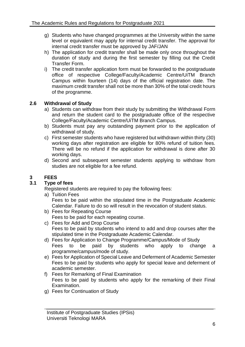- g) Students who have changed programmes at the University within the same level or equivalent may apply for internal credit transfer. The approval for internal credit transfer must be approved by JAF/JAN
- h) The application for credit transfer shall be made only once throughout the duration of study and during the first semester by filling out the Credit Transfer Form.
- i) The credit transfer application form must be forwarded to the postgraduate office of respective College/Faculty/Academic Centre/UiTM Branch Campus within fourteen (14) days of the official registration date. The maximum credit transfer shall not be more than 30% of the total credit hours of the programme.

# <span id="page-21-0"></span>**2.6 Withdrawal of Study**

- a) Students can withdraw from their study by submitting the Withdrawal Form and return the student card to the postgraduate office of the respective College/Faculty/Academic Centre/UiTM Branch Campus.
- b) Students must pay any outstanding payment prior to the application of withdrawal of study.
- c) First semester students who have registered but withdrawn within thirty (30) working days after registration are eligible for 80% refund of tuition fees. There will be no refund if the application for withdrawal is done after 30 working days.
- d) Second and subsequent semester students applying to withdraw from studies are not eligible for a fee refund.

# <span id="page-21-1"></span>**3 FEES**

# <span id="page-21-2"></span>**3.1 Type of fees**

Registered students are required to pay the following fees:

- a) Tuition Fees Fees to be paid within the stipulated time in the Postgraduate Academic Calendar. Failure to do so will result in the revocation of student status.
- b) Fees for Repeating Course Fees to be paid for each repeating course.
- c) Fees for Add and Drop Course Fees to be paid by students who intend to add and drop courses after the stipulated time in the Postgraduate Academic Calendar.
- d) Fees for Application to Change Programme/Campus/Mode of Study Fees to be paid by students who apply to change a programme/campus/mode of study.
- e) Fees for Application of Special Leave and Deferment of Academic Semester Fees to be paid by students who apply for special leave and deferment of academic semester.
- f) Fees for Remarking of Final Examination Fees to be paid by students who apply for the remarking of their Final Examination.
- g) Fees for Continuation of Study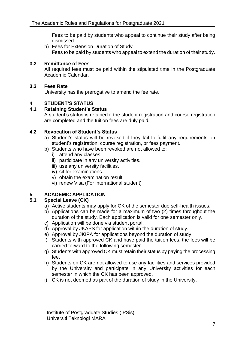Fees to be paid by students who appeal to continue their study after being dismissed.

h) Fees for Extension Duration of Study Fees to be paid by students who appeal to extend the duration of their study.

# <span id="page-22-0"></span>**3.2 Remittance of Fees**

All required fees must be paid within the stipulated time in the Postgraduate Academic Calendar.

# <span id="page-22-1"></span>**3.3 Fees Rate**

University has the prerogative to amend the fee rate.

# <span id="page-22-2"></span>**4 STUDENT'S STATUS**

# <span id="page-22-3"></span>**4.1 Retaining Student's Status**

A student's status is retained if the student registration and course registration are completed and the tuition fees are duly paid.

# <span id="page-22-4"></span>**4.2 Revocation of Student's Status**

- a) Student's status will be revoked if they fail to fulfil any requirements on student's registration, course registration, or fees payment.
- b) Students who have been revoked are not allowed to:
	- i) attend any classes.
	- ii) participate in any university activities.
	- iii) use any university facilities.
	- iv) sit for examinations.
	- v) obtain the examination result
	- vi) renew Visa (For international student)

# <span id="page-22-5"></span>**5 ACADEMIC APPLICATION**

# <span id="page-22-6"></span>**5.1 Special Leave (CK)**

- a) Active students may apply for CK of the semester due self-health issues.
- b) Applications can be made for a maximum of two (2) times throughout the duration of the study. Each application is valid for one semester only.
- c) Application will be done via student portal.
- d) Approval by JKAPS for application within the duration of study.
- e) Approval by JKIPA for applications beyond the duration of study.
- f) Students with approved CK and have paid the tuition fees, the fees will be carried forward to the following semester.
- g) Students with approved CK must retain their status by paying the processing fee.
- h) Students on CK are not allowed to use any facilities and services provided by the University and participate in any University activities for each semester in which the CK has been approved.
- i) CK is not deemed as part of the duration of study in the University.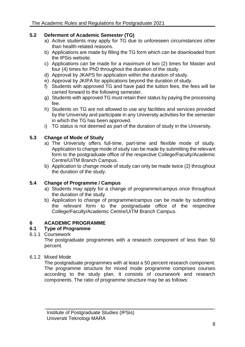# <span id="page-23-0"></span>**5.2 Deferment of Academic Semester (TG)**

- a) Active students may apply for TG due to unforeseen circumstances other than health-related reasons.
- b) Applications are made by filling the TG form which can be downloaded from the IPSis website.
- c) Applications can be made for a maximum of two (2) times for Master and four (4) times for PhD throughout the duration of the study.
- d) Approval by JKAPS for application within the duration of study.
- e) Approval by JKIPA for applications beyond the duration of study.
- f) Students with approved TG and have paid the tuition fees, the fees will be carried forward to the following semester.
- g) Students with approved TG must retain their status by paying the processing fee.
- h) Students on TG are not allowed to use any facilities and services provided by the University and participate in any University activities for the semester in which the TG has been approved.
- i) TG status is not deemed as part of the duration of study in the University.

# <span id="page-23-1"></span>**5.3 Change of Mode of Study**

- a) The University offers full-time, part-time and flexible mode of study. Application to change mode of study can be made by submitting the relevant form to the postgraduate office of the respective College/Faculty/Academic Centre/UiTM Branch Campus.
- b) Application to change mode of study can only be made twice (2) throughout the duration of the study.

# <span id="page-23-2"></span>**5.4 Change of Programme / Campus**

- a) Students may apply for a change of programme/campus once throughout the duration of the study.
- b) Application to change of programme/campus can be made by submitting the relevant form to the postgraduate office of the respective College/Faculty/Academic Centre/UiTM Branch Campus.

# <span id="page-23-3"></span>**6 ACADEMIC PROGRAMME**

# <span id="page-23-4"></span>**6.1 Type of Programme**

6.1.1 Coursework

The postgraduate programmes with a research component of less than 50 percent.

6.1.2 Mixed Mode

The postgraduate programmes with at least a 50 percent research component. The programme structure for mixed mode programme comprises courses according to the study plan. It consists of coursework and research components. The ratio of programme structure may be as follows: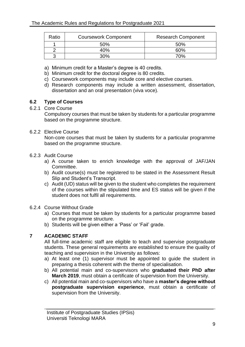| Ratio | <b>Coursework Component</b> | <b>Research Component</b> |
|-------|-----------------------------|---------------------------|
|       | 50%                         | 50%                       |
|       | 40%                         | 60%                       |
|       | 30%                         | 70%                       |

- a) Minimum credit for a Master's degree is 40 credits.
- b) Minimum credit for the doctoral degree is 80 credits.
- c) Coursework components may include core and elective courses.
- d) Research components may include a written assessment, dissertation, dissertation and an oral presentation (viva voce).

#### <span id="page-24-0"></span>**6.2 Type of Courses**

#### <span id="page-24-1"></span>6.2.1 Core Course

Compulsory courses that must be taken by students for a particular programme based on the programme structure.

#### <span id="page-24-2"></span>6.2.2 Elective Course

Non-core courses that must be taken by students for a particular programme based on the programme structure.

#### <span id="page-24-3"></span>6.2.3 Audit Course

- a) A course taken to enrich knowledge with the approval of JAF/JAN Committee.
- b) Audit course(s) must be registered to be stated in the Assessment Result Slip and Student's Transcript.
- c) Audit (UD) status will be given to the student who completes the requirement of the courses within the stipulated time and ES status will be given if the student does not fulfil all requirements.

#### <span id="page-24-4"></span>6.2.4 Course Without Grade

- a) Courses that must be taken by students for a particular programme based on the programme structure.
- b) Students will be given either a 'Pass' or 'Fail' grade.

# <span id="page-24-5"></span>**7 ACADEMIC STAFF**

All full-time academic staff are eligible to teach and supervise postgraduate students. These general requirements are established to ensure the quality of teaching and supervision in the University as follows:

- a) At least one (1) supervisor must be appointed to guide the student in preparing a thesis coherent with the theme of specialisation.
- b) All potential main and co-supervisors who **graduated their PhD after March 2019**, must obtain a certificate of supervision from the University.
- c) All potential main and co-supervisors who have a **master's degree without postgraduate supervision experience**, must obtain a certificate of supervision from the University.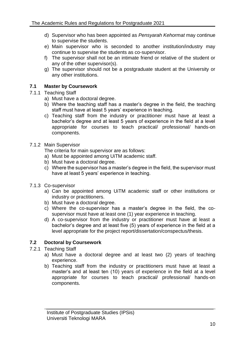- d) Supervisor who has been appointed as *Pensyarah Kehormat* may continue to supervise the students.
- e) Main supervisor who is seconded to another institution/industry may continue to supervise the students as co-supervisor.
- f) The supervisor shall not be an intimate friend or relative of the student or any of the other supervisor(s).
- g) The supervisor should not be a postgraduate student at the University or any other institutions.

# <span id="page-25-0"></span>**7.1 Master by Coursework**

# <span id="page-25-1"></span>7.1.1 Teaching Staff

- a) Must have a doctoral degree.
- b) Where the teaching staff has a master's degree in the field, the teaching staff must have at least 5 years' experience in teaching.
- c) Teaching staff from the industry or practitioner must have at least a bachelor's degree and at least 5 years of experience in the field at a level appropriate for courses to teach practical/ professional/ hands-on components.
- <span id="page-25-2"></span>7.1.2 Main Supervisor
	- The criteria for main supervisor are as follows:
	- a) Must be appointed among UiTM academic staff.
	- b) Must have a doctoral degree.
	- c) Where the supervisor has a master's degree in the field, the supervisor must have at least 5 years' experience in teaching.
- <span id="page-25-3"></span>7.1.3 Co-supervisor
	- a) Can be appointed among UiTM academic staff or other institutions or industry or practitioners.
	- b) Must have a doctoral degree.
	- c) Where the co-supervisor has a master's degree in the field, the cosupervisor must have at least one (1) year experience in teaching.
	- d) A co-supervisor from the industry or practitioner must have at least a bachelor's degree and at least five (5) years of experience in the field at a level appropriate for the project report/dissertation/conspectus/thesis.

# <span id="page-25-4"></span>**7.2 Doctoral by Coursework**

- <span id="page-25-5"></span>7.2.1 Teaching Staff
	- a) Must have a doctoral degree and at least two (2) years of teaching experience.
	- b) Teaching staff from the industry or practitioners must have at least a master's and at least ten (10) years of experience in the field at a level appropriate for courses to teach practical/ professional/ hands-on components.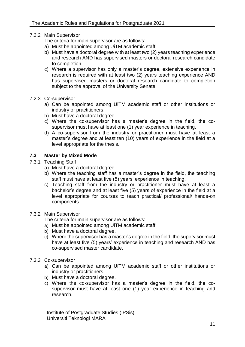- <span id="page-26-0"></span>7.2.2 Main Supervisor
	- The criteria for main supervisor are as follows:
	- a) Must be appointed among UiTM academic staff.
	- b) Must have a doctoral degree with at least two (2) years teaching experience and research AND has supervised masters or doctoral research candidate to completion.
	- c) Where a supervisor has only a master's degree, extensive experience in research is required with at least two (2) years teaching experience AND has supervised masters or doctoral research candidate to completion subject to the approval of the University Senate.
- <span id="page-26-1"></span>7.2.3 Co-supervisor
	- a) Can be appointed among UiTM academic staff or other institutions or industry or practitioners.
	- b) Must have a doctoral degree.
	- c) Where the co-supervisor has a master's degree in the field, the cosupervisor must have at least one (1) year experience in teaching.
	- d) A co-supervisor from the industry or practitioner must have at least a master's degree and at least ten (10) years of experience in the field at a level appropriate for the thesis.

#### <span id="page-26-2"></span>**7.3 Master by Mixed Mode**

- <span id="page-26-3"></span>7.3.1 Teaching Staff
	- a) Must have a doctoral degree.
	- b) Where the teaching staff has a master's degree in the field, the teaching staff must have at least five (5) years' experience in teaching.
	- c) Teaching staff from the industry or practitioner must have at least a bachelor's degree and at least five (5) years of experience in the field at a level appropriate for courses to teach practical/ professional/ hands-on components.

#### <span id="page-26-4"></span>7.3.2 Main Supervisor

The criteria for main supervisor are as follows:

- a) Must be appointed among UiTM academic staff.
- b) Must have a doctoral degree.
- c) Where the supervisor has a master's degree in the field, the supervisor must have at least five (5) years' experience in teaching and research AND has co-supervised master candidate.
- <span id="page-26-5"></span>7.3.3 Co-supervisor
	- a) Can be appointed among UiTM academic staff or other institutions or industry or practitioners.
	- b) Must have a doctoral degree.
	- c) Where the co-supervisor has a master's degree in the field, the cosupervisor must have at least one (1) year experience in teaching and research.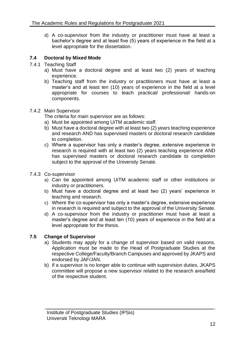d) A co-supervisor from the industry or practitioner must have at least a bachelor's degree and at least five (5) years of experience in the field at a level appropriate for the dissertation.

# <span id="page-27-0"></span>**7.4 Doctoral by Mixed Mode**

- <span id="page-27-1"></span>7.4.1 Teaching Staff
	- a) Must have a doctoral degree and at least two (2) years of teaching experience.
	- b) Teaching staff from the industry or practitioners must have at least a master's and at least ten (10) years of experience in the field at a level appropriate for courses to teach practical/ professional/ hands-on components.

#### <span id="page-27-2"></span>7.4.2 Main Supervisor

The criteria for main supervisor are as follows:

- a) Must be appointed among UiTM academic staff.
- b) Must have a doctoral degree with at least two (2) years teaching experience and research AND has supervised masters or doctoral research candidate to completion.
- c) Where a supervisor has only a master's degree, extensive experience in research is required with at least two (2) years teaching experience AND has supervised masters or doctoral research candidate to completion subject to the approval of the University Senate.
- <span id="page-27-3"></span>7.4.3 Co-supervisor
	- a) Can be appointed among UiTM academic staff or other institutions or industry or practitioners.
	- b) Must have a doctoral degree and at least two (2) years' experience in teaching and research.
	- c) Where the co-supervisor has only a master's degree, extensive experience in research is required and subject to the approval of the University Senate.
	- d) A co-supervisor from the industry or practitioner must have at least a master's degree and at least ten (10) years of experience in the field at a level appropriate for the thesis.

# <span id="page-27-4"></span>**7.5 Change of Supervisor**

- a) Students may apply for a change of supervisor based on valid reasons. Application must be made to the Head of Postgraduate Studies at the respective College/Faculty/Branch Campuses and approved by JKAPS and endorsed by JAF/JAN.
- b) If a supervisor is no longer able to continue with supervision duties, JKAPS committee will propose a new supervisor related to the research area/field of the respective student.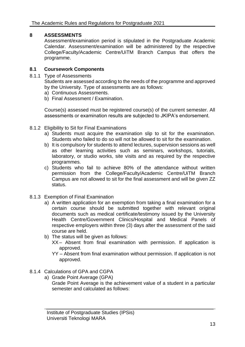# <span id="page-28-0"></span>**8 ASSESSMENTS**

Assessment/examination period is stipulated in the Postgraduate Academic Calendar. Assessment/examination will be administered by the respective College/Faculty/Academic Centre/UiTM Branch Campus that offers the programme.

# <span id="page-28-1"></span>**8.1 Coursework Components**

<span id="page-28-2"></span>8.1.1 Type of Assessments

Students are assessed according to the needs of the programme and approved by the University. Type of assessments are as follows:

- a) Continuous Assessments.
- b) Final Assessment / Examination.

Course(s) assessed must be registered course(s) of the current semester. All assessments or examination results are subjected to JKIPA's endorsement.

- <span id="page-28-3"></span>8.1.2 Eligibility to Sit for Final Examinations
	- a) Students must acquire the examination slip to sit for the examination. Students who failed to do so will not be allowed to sit for the examination.
	- b) It is compulsory for students to attend lectures, supervision sessions as well as other learning activities such as seminars, workshops, tutorials, laboratory, or studio works, site visits and as required by the respective programmes.
	- c) Students who fail to achieve 80% of the attendance without written permission from the College/Faculty/Academic Centre/UiTM Branch Campus are not allowed to sit for the final assessment and will be given ZZ status.
- <span id="page-28-4"></span>8.1.3 Exemption of Final Examination
	- a) A written application for an exemption from taking a final examination for a certain course should be submitted together with relevant original documents such as medical certificate/testimony issued by the University Health Centre/Government Clinics/Hospital and Medical Panels of respective employers within three (3) days after the assessment of the said course are held.
	- b) The status will be given as follows:
		- XX– Absent from final examination with permission. If application is approved.
		- YY Absent from final examination without permission. If application is not approved.
- <span id="page-28-5"></span>8.1.4 Calculations of GPA and CGPA
	- a) Grade Point Average (GPA) Grade Point Average is the achievement value of a student in a particular semester and calculated as follows: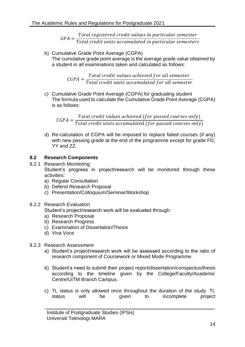$GPA =$ Total registered credit values in particular semester Total credit units accumulated in particular semesters

b) Cumulative Grade Point Average (CGPA) The cumulative grade point average is the average grade value obtained by a student in all examinations taken and calculated as follows:

> $CGPA =$ Total credit values achieved for all semester Total credit units accumulated for all semester

c) Cumulative Grade Point Average (CGPA) for graduating student The formula used to calculate the Cumulative Grade Point Average (CGPA) is as follows:

 $CGPA =$ Total credit values achieved (for passed courses only) Total credit units accumulated (for passed courses only)  $\,$ 

d) Re-calculation of CGPA will be imposed to replace failed courses (if any) with new passing grade at the end of the programme except for grade FD, YY and ZZ.

# <span id="page-29-0"></span>**8.2 Research Components**

- <span id="page-29-1"></span>8.2.1 Research Monitoring Student's progress in project/research will be monitored through these activities:
	- a) Regular Consultation
	- b) Defend Research Proposal
	- c) Presentation/Colloquium/Seminar/Workshop

# <span id="page-29-2"></span>8.2.2 Research Evaluation

Student's project/research work will be evaluated through:

- a) Research Proposal
- b) Research Progress
- c) Examination of Dissertation/Thesis
- d) Viva Voce
- <span id="page-29-3"></span>8.2.3 Research Assessment
	- a) Student's project/research work will be assessed according to the ratio of research component of Coursework or Mixed Mode Programme.
	- b) Student's need to submit their project report/dissertation/conspectus/thesis according to the timeline given by the College/Faculty/Academic Centre/UiTM Branch Campus.
	- c) TL status is only allowed once throughout the duration of the study. TL status will be given to incomplete project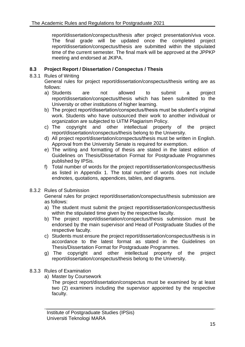report/dissertation/conspectus/thesis after project presentation/viva voce. The final grade will be updated once the completed project report/dissertation/conspectus/thesis are submitted within the stipulated time of the current semester. The final mark will be approved at the JPPKP meeting and endorsed at JKIPA.

# <span id="page-30-0"></span>**8.3 Project Report / Dissertation / Conspectus / Thesis**

<span id="page-30-1"></span>8.3.1 Rules of Writing

General rules for project report/dissertation/conspectus/thesis writing are as follows:

- a) Students are not allowed to submit a project report/dissertation/conspectus/thesis which has been submitted to the University or other institutions of higher learning.
- b) The project report/dissertation/conspectus/thesis must be student's original work. Students who have outsourced their work to another individual or organization are subjected to UiTM Plagiarism Policy.
- c) The copyright and other intellectual property of the project report/dissertation/conspectus/thesis belong to the University.
- d) All project report/dissertation/conspectus/thesis must be written in English. Approval from the University Senate is required for exemption.
- e) The writing and formatting of thesis are stated in the latest edition of Guidelines on Thesis/Dissertation Format for Postgraduate Programmes published by IPSis.
- f) Total number of words for the project report/dissertation/conspectus/thesis as listed in Appendix 1. The total number of words does not include endnotes, quotations, appendices, tables, and diagrams.
- <span id="page-30-2"></span>8.3.2 Rules of Submission

General rules for project report/dissertation/conspectus/thesis submission are as follows:

- a) The student must submit the project report/dissertation/conspectus/thesis within the stipulated time given by the respective faculty.
- b) The project report/dissertation/conspectus/thesis submission must be endorsed by the main supervisor and Head of Postgraduate Studies of the respective faculty.
- c) Students must ensure the project report/dissertation/conspectus/thesis is in accordance to the latest format as stated in the Guidelines on Thesis/Dissertation Format for Postgraduate Programmes.
- g) The copyright and other intellectual property of the project report/dissertation/conspectus/thesis belong to the University.
- <span id="page-30-3"></span>8.3.3 Rules of Examination
	- a) Master by Coursework

The project report/dissertation/conspectus must be examined by at least two (2) examiners including the supervisor appointed by the respective faculty.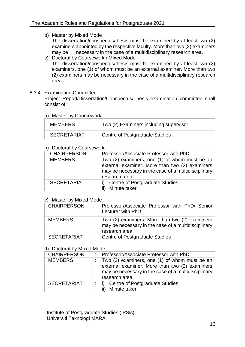b) Master by Mixed Mode

The dissertation/conspectus/thesis must be examined by at least two (2) examiners appointed by the respective faculty. More than two (2) examiners may be necessary in the case of a multidisciplinary research area.

c) Doctoral by Coursework / Mixed Mode The dissertation/conspectus/thesis must be examined by at least two (2) examiners, one (1) of whom must be an external examiner. More than two (2) examiners may be necessary in the case of a multidisciplinary research area.

# <span id="page-31-0"></span>8.3.4 Examination Committee

Project Report/Dissertation/Conspectus/Thesis examination committee shall consist of:

#### a) Master by Coursework

| <b>MEMBERS</b>     | $\therefore$ Two (2) Examiners including supervisor |
|--------------------|-----------------------------------------------------|
| <b>SECRETARIAT</b> | :   Centre of Postgraduate Studies                  |

# b) Doctoral by Coursework

| <b>CHAIRPERSON</b> | Professor/Associate Professor with PhD                                                                                                                                   |
|--------------------|--------------------------------------------------------------------------------------------------------------------------------------------------------------------------|
| <b>MEMBERS</b>     | Two (2) examiners, one (1) of whom must be an<br>external examiner. More than two (2) examiners<br>may be necessary in the case of a multidisciplinary<br>research area. |
| <b>SECRETARIAT</b> | i) Centre of Postgraduate Studies<br>Minute taker                                                                                                                        |

#### c) Master by Mixed Mode

| <b>CHAIRPERSON</b> | Professor/Associate Professor with PhD/ Senior<br>Lecturer with PhD                                                     |
|--------------------|-------------------------------------------------------------------------------------------------------------------------|
| <b>MEMBERS</b>     | Two (2) examiners. More than two (2) examiners<br>may be necessary in the case of a multidisciplinary<br>research area. |
| <b>SECRETARIAT</b> | <b>Centre of Postgraduate Studies</b>                                                                                   |

# d) Doctoral by Mixed Mode

| <b>CHAIRPERSON</b> | ٠. | Professor/Associate Professor with PhD                                                                                                                                   |
|--------------------|----|--------------------------------------------------------------------------------------------------------------------------------------------------------------------------|
| <b>MEMBERS</b>     |    | Two (2) examiners, one (1) of whom must be an<br>external examiner. More than two (2) examiners<br>may be necessary in the case of a multidisciplinary<br>research area. |
| <b>SECRETARIAT</b> |    | i) Centre of Postgraduate Studies<br>ii) Minute taker                                                                                                                    |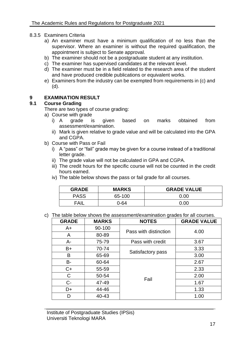#### <span id="page-32-0"></span>8.3.5 Examiners Criteria

- a) An examiner must have a minimum qualification of no less than the supervisor. Where an examiner is without the required qualification, the appointment is subject to Senate approval.
- b) The examiner should not be a postgraduate student at any institution.
- c) The examiner has supervised candidates at the relevant level.
- d) The examiner must be in a field related to the research area of the student and have produced credible publications or equivalent works.
- e) Examiners from the industry can be exempted from requirements in (c) and (d).

#### <span id="page-32-1"></span>**9 EXAMINATION RESULT**

#### <span id="page-32-2"></span>**9.1 Course Grading**

There are two types of course grading:

- a) Course with grade
	- i) A grade is given based on marks obtained from assessment/examination.
	- ii) Mark is given relative to grade value and will be calculated into the GPA and CGPA.
- b) Course with Pass or Fail
	- i) A "pass" or "fail" grade may be given for a course instead of a traditional letter grade.
	- ii) The grade value will not be calculated in GPA and CGPA.
	- iii) The credit hours for the specific course will not be counted in the credit hours earned.
	- iv) The table below shows the pass or fail grade for all courses.

| <b>GRADE</b> | <b>MARKS</b> | <b>GRADE VALUE</b> |
|--------------|--------------|--------------------|
| <b>PASS</b>  | 65-100       | 0.00               |
| FAII         | 0-64         | 0.0C               |

c) The table below shows the assessment/examination grades for all courses.

| <b>GRADE</b> | <b>MARKS</b> | <b>NOTES</b>          | <b>GRADE VALUE</b> |
|--------------|--------------|-----------------------|--------------------|
| $A+$         | 90-100       | Pass with distinction | 4.00               |
| A            | 80-89        |                       |                    |
| А-           | 75-79        | Pass with credit      | 3.67               |
| B+           | 70-74        |                       | 3.33               |
| B            | 65-69        | Satisfactory pass     | 3.00               |
| <b>B-</b>    | 60-64        |                       | 2.67               |
| $C+$         | 55-59        |                       | 2.33               |
| C            | 50-54        | Fail                  | 2.00               |
| $C -$        | 47-49        |                       | 1.67               |
| D+           | 44-46        |                       | 1.33               |
| D            | 40-43        |                       | 1.00               |

Institute of Postgraduate Studies (IPSis) Universiti Teknologi MARA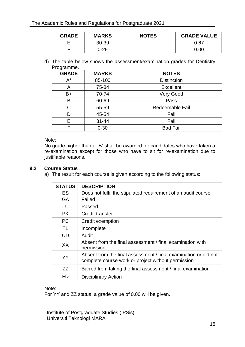| <b>GRADE</b> | <b>MARKS</b> | <b>NOTES</b> | <b>GRADE VALUE</b> |
|--------------|--------------|--------------|--------------------|
|              | $30 - 39$    |              | 0.67               |
|              | 0-29         |              | 0.00               |

d) The table below shows the assessment/examination grades for Dentistry Programme.

| <b>GRADE</b> | <b>MARKS</b> | <b>NOTES</b>       |
|--------------|--------------|--------------------|
| $A^*$        | 85-100       | <b>Distinction</b> |
| Α            | 75-84        | <b>Excellent</b>   |
| $B+$         | 70-74        | Very Good          |
| В            | 60-69        | Pass               |
| С            | 55-59        | Redeemable Fail    |
| D            | 45-54        | Fail               |
| E            | $31 - 44$    | Fail               |
| F.           | $0 - 30$     | <b>Bad Fail</b>    |

#### Note:

No grade higher than a `B' shall be awarded for candidates who have taken a re-examination except for those who have to sit for re-examination due to justifiable reasons.

#### <span id="page-33-0"></span>**9.2 Course Status**

a) The result for each course is given according to the following status:

| <b>STATUS</b> | <b>DESCRIPTION</b>                                                                                                    |
|---------------|-----------------------------------------------------------------------------------------------------------------------|
| <b>ES</b>     | Does not fulfil the stipulated requirement of an audit course                                                         |
| <b>GA</b>     | Failed                                                                                                                |
| LU            | Passed                                                                                                                |
| <b>PK</b>     | Credit transfer                                                                                                       |
| <b>PC</b>     | Credit exemption                                                                                                      |
| TL            | Incomplete                                                                                                            |
| UD            | Audit                                                                                                                 |
| XX            | Absent from the final assessment / final examination with<br>permission                                               |
| <b>YY</b>     | Absent from the final assessment / final examination or did not<br>complete course work or project without permission |
| ZZ            | Barred from taking the final assessment / final examination                                                           |
| FD            | <b>Disciplinary Action</b>                                                                                            |

#### Note:

For YY and ZZ status, a grade value of 0.00 will be given.

Institute of Postgraduate Studies (IPSis) Universiti Teknologi MARA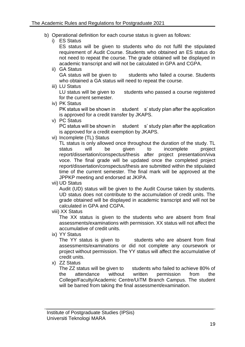- b) Operational definition for each course status is given as follows:
	- i) ES Status

ES status will be given to students who do not fulfil the stipulated requirement of Audit Course. Students who obtained an ES status do not need to repeat the course. The grade obtained will be displayed in academic transcript and will not be calculated in GPA and CGPA.

ii) GA Status

GA status will be given to students who failed a course. Students who obtained a GA status will need to repeat the course.

iii) LU Status

LU status will be given to students who passed a course registered for the current semester.

iv) PK Status

PK status will be shown in student s' study plan after the application is approved for a credit transfer by JKAPS.

v) PC Status

PC status will be shown in student s' study plan after the application is approved for a credit exemption by JKAPS.

vi) Incomplete (TL) Status

TL status is only allowed once throughout the duration of the study. TL status will be given to incomplete project report/dissertation/conspectus/thesis after project presentation/viva voce. The final grade will be updated once the completed project report/dissertation/conspectus/thesis are submitted within the stipulated time of the current semester. The final mark will be approved at the JPPKP meeting and endorsed at JKIPA.

vii) UD Status

Audit (UD) status will be given to the Audit Course taken by students. UD status does not contribute to the accumulation of credit units. The grade obtained will be displayed in academic transcript and will not be calculated in GPA and CGPA.

viii) XX Status

The XX status is given to the students who are absent from final assessments/examinations with permission. XX status will not affect the accumulative of credit units.

ix) YY Status

The YY status is given to students who are absent from final assessments/examinations or did not complete any coursework or project without permission. The YY status will affect the accumulative of credit units.

x) ZZ Status

The ZZ status will be given to students who failed to achieve 80% of the attendance without written permission from the College/Faculty/Academic Centre/UiTM Branch Campus. The student will be barred from taking the final assessment/examination.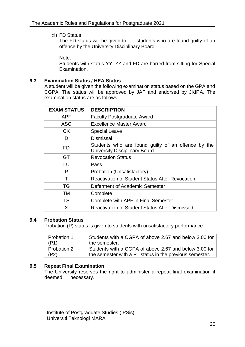xi) FD Status

The FD status will be given to students who are found guilty of an offence by the University Disciplinary Board.

Note:

Students with status YY, ZZ and FD are barred from sitting for Special Examination.

# <span id="page-35-0"></span>**9.3 Examination Status / HEA Status**

A student will be given the following examination status based on the GPA and CGPA. The status will be approved by JAF and endorsed by JKIPA. The examination status are as follows:

| <b>EXAM STATUS</b> | <b>DESCRIPTION</b>                                                                         |
|--------------------|--------------------------------------------------------------------------------------------|
| <b>APF</b>         | <b>Faculty Postgraduate Award</b>                                                          |
| <b>ASC</b>         | <b>Excellence Master Award</b>                                                             |
| CK.                | <b>Special Leave</b>                                                                       |
| D                  | <b>Dismissal</b>                                                                           |
| FD                 | Students who are found guilty of an offence by the<br><b>University Disciplinary Board</b> |
| GT                 | <b>Revocation Status</b>                                                                   |
| LU                 | Pass                                                                                       |
| P                  | Probation (Unsatisfactory)                                                                 |
|                    | <b>Reactivation of Student Status After Revocation</b>                                     |
| TG                 | Deferment of Academic Semester                                                             |
| тм                 | Complete                                                                                   |
| TS                 | Complete with APF in Final Semester                                                        |
| X                  | <b>Reactivation of Student Status After Dismissed</b>                                      |

# <span id="page-35-1"></span>**9.4 Probation Status**

Probation (P) status is given to students with unsatisfactory performance.

| <b>Probation 1</b> | Students with a CGPA of above 2.67 and below 3.00 for   |
|--------------------|---------------------------------------------------------|
| (P1)               | the semester.                                           |
| Probation 2        | Students with a CGPA of above 2.67 and below 3.00 for   |
| (P2)               | the semester with a P1 status in the previous semester. |

# <span id="page-35-2"></span>**9.5 Repeat Final Examination**

The University reserves the right to administer a repeat final examination if deemed necessary.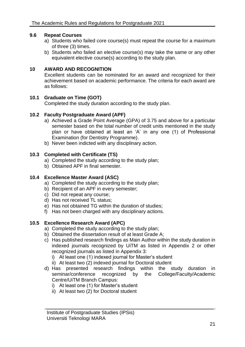# <span id="page-36-0"></span>**9.6 Repeat Courses**

- a) Students who failed core course(s) must repeat the course for a maximum of three (3) times.
- b) Students who failed an elective course(s) may take the same or any other equivalent elective course(s) according to the study plan.

#### <span id="page-36-1"></span>**10 AWARD AND RECOGNITION**

Excellent students can be nominated for an award and recognized for their achievement based on academic performance. The criteria for each award are as follows:

# <span id="page-36-2"></span>**10.1 Graduate on Time (GOT)**

Completed the study duration according to the study plan.

#### <span id="page-36-3"></span>**10.2 Faculty Postgraduate Award (APF)**

- a) Achieved a Grade Point Average (GPA) of 3.75 and above for a particular semester based on the total number of credit units mentioned in the study plan or have obtained at least an 'A' in any one (1) of Professional Examination (for Dentistry Programme).
- b) Never been indicted with any disciplinary action.

#### <span id="page-36-4"></span>**10.3 Completed with Certificate (TS)**

- a) Completed the study according to the study plan;
- b) Obtained APF in final semester.

# <span id="page-36-5"></span>**10.4 Excellence Master Award (ASC)**

- a) Completed the study according to the study plan;
- b) Recipient of an APF in every semester;
- c) Did not repeat any course;
- d) Has not received TL status;
- e) Has not obtained TG within the duration of studies;
- f) Has not been charged with any disciplinary actions.

# <span id="page-36-6"></span>**10.5 Excellence Research Award (APC)**

- a) Completed the study according to the study plan;
- b) Obtained the dissertation result of at least Grade A;
- c) Has published research findings as Main Author within the study duration in indexed journals recognized by UiTM as listed in Appendix 2 or other recognized journals as listed in Appendix 3:
	- i) At least one (1) indexed journal for Master's student
	- ii) At least two (2) indexed journal for Doctoral student
- d) Has presented research findings within the study duration in seminar/conference recognized by the College/Faculty/Academic Centre/UiTM Branch Campus:
	- i) At least one (1) for Master's student
	- ii) At least two (2) for Doctoral student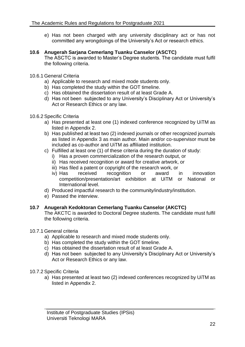e) Has not been charged with any university disciplinary act or has not committed any wrongdoings of the University's Act or research ethics.

#### <span id="page-37-0"></span>**10.6 Anugerah Sarjana Cemerlang Tuanku Canselor (ASCTC)**

The ASCTC is awarded to Master's Degree students. The candidate must fulfil the following criteria.

#### <span id="page-37-1"></span>10.6.1 General Criteria

- a) Applicable to research and mixed mode students only.
- b) Has completed the study within the GOT timeline.
- c) Has obtained the dissertation result of at least Grade A.
- d) Has not been subjected to any University's Disciplinary Act or University's Act or Research Ethics or any law.

#### <span id="page-37-2"></span>10.6.2 Specific Criteria

- a) Has presented at least one (1) indexed conference recognized by UiTM as listed in Appendix 2.
- b) Has published at least two (2) indexed journals or other recognized journals as listed in Appendix 3 as main author. Main and/or co-supervisor must be included as co-author and UiTM as affiliated institution.
- c) Fulfilled at least one (1) of these criteria during the duration of study:
	- i) Has a proven commercialization of the research output, or
	- ii) Has received recognition or award for creative artwork, or
	- iii) Has filed a patent or copyright of the research work, or
	- iv) Has received recognition or award in innovation competition/presentation/art exhibition at UiTM or National or International level.
- d) Produced impactful research to the community/industry/institution.
- e) Passed the interview.

# <span id="page-37-3"></span>**10.7 Anugerah Kedoktoran Cemerlang Tuanku Canselor (AKCTC)**

The AKCTC is awarded to Doctoral Degree students. The candidate must fulfil the following criteria.

#### <span id="page-37-4"></span>10.7.1 General criteria

- a) Applicable to research and mixed mode students only.
- b) Has completed the study within the GOT timeline.
- c) Has obtained the dissertation result of at least Grade A.
- d) Has not been subjected to any University's Disciplinary Act or University's Act or Research Ethics or any law.

#### <span id="page-37-5"></span>10.7.2 Specific Criteria

a) Has presented at least two (2) indexed conferences recognized by UiTM as listed in Appendix 2.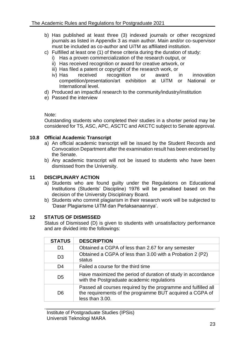- b) Has published at least three (3) indexed journals or other recognized journals as listed in Appendix 3 as main author. Main and/or co-supervisor must be included as co-author and UiTM as affiliated institution.
- c) Fulfilled at least one (1) of these criteria during the duration of study:
	- i) Has a proven commercialization of the research output, or
	- ii) Has received recognition or award for creative artwork, or
	- iii) Has filed a patent or copyright of the research work, or
	- iv) Has received recognition or award in innovation competition/presentation/art exhibition at UiTM or National or International level.
- d) Produced an impactful research to the community/industry/institution
- e) Passed the interview

# Note:

Outstanding students who completed their studies in a shorter period may be considered for TS, ASC, APC, ASCTC and AKCTC subject to Senate approval.

# <span id="page-38-0"></span>**10.8 Official Academic Transcript**

- a) An official academic transcript will be issued by the Student Records and Convocation Department after the examination result has been endorsed by the Senate.
- b) Any academic transcript will not be issued to students who have been dismissed from the University.

# <span id="page-38-1"></span>**11 DISCIPLINARY ACTION**

- a) Students who are found guilty under the Regulations on Educational Institutions (Students' Discipline) 1976 will be penalised based on the decision of the University Disciplinary Board.
- b) Students who commit plagiarism in their research work will be subjected to 'Dasar Plagiarisme UiTM dan Perlaksanaannya'.

# <span id="page-38-2"></span>**12 STATUS OF DISMISSED**

Status of Dismissed (D) is given to students with unsatisfactory performance and are divided into the followings:

| <b>STATUS</b>  | <b>DESCRIPTION</b>                                                                                                                            |
|----------------|-----------------------------------------------------------------------------------------------------------------------------------------------|
| D1             | Obtained a CGPA of less than 2.67 for any semester                                                                                            |
| D <sub>3</sub> | Obtained a CGPA of less than 3.00 with a Probation 2 (P2)<br>status                                                                           |
| D4             | Failed a course for the third time                                                                                                            |
| D <sub>5</sub> | Have maximized the period of duration of study in accordance<br>with the Postgraduate academic regulations                                    |
| D <sub>6</sub> | Passed all courses required by the programme and fulfilled all<br>the requirements of the programme BUT acquired a CGPA of<br>less than 3.00. |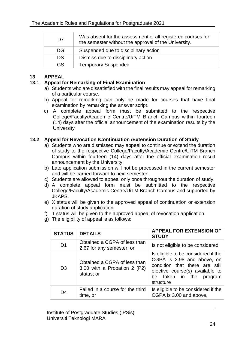| D7        | Was absent for the assessment of all registered courses for<br>the semester without the approval of the University. |
|-----------|---------------------------------------------------------------------------------------------------------------------|
| DG.       | Suspended due to disciplinary action                                                                                |
| <b>DS</b> | Dismiss due to disciplinary action                                                                                  |
| GS.       | <b>Temporary Suspended</b>                                                                                          |

# <span id="page-39-0"></span>**13 APPEAL**

# <span id="page-39-1"></span>**13.1 Appeal for Remarking of Final Examination**

- a) Students who are dissatisfied with the final results may appeal for remarking of a particular course.
- b) Appeal for remarking can only be made for courses that have final examination by remarking the answer script.
- c) A complete appeal form must be submitted to the respective College/Faculty/Academic Centre/UiTM Branch Campus within fourteen (14) days after the official announcement of the examination results by the **University**

# <span id="page-39-2"></span>**13.2 Appeal for Revocation /Continuation /Extension Duration of Study**

- a) Students who are dismissed may appeal to continue or extend the duration of study to the respective College/Faculty/Academic Centre/UiTM Branch Campus within fourteen (14) days after the official examination result announcement by the University.
- b) Late application submission will not be processed in the current semester and will be carried forward to next semester.
- c) Students are allowed to appeal only once throughout the duration of study.
- d) A complete appeal form must be submitted to the respective College/Faculty/Academic Centre/UiTM Branch Campus and supported by JKAPS.
- e) X status will be given to the approved appeal of continuation or extension duration of study application.
- f) T status will be given to the approved appeal of revocation application.
- g) The eligibility of appeal is as follows:

| <b>STATUS</b>  | <b>DETAILS</b>                                                             | <b>APPEAL FOR EXTENSION OF</b><br><b>STUDY</b>                                                                                                                                    |
|----------------|----------------------------------------------------------------------------|-----------------------------------------------------------------------------------------------------------------------------------------------------------------------------------|
| D <sub>1</sub> | Obtained a CGPA of less than<br>2.67 for any semester; or                  | Is not eligible to be considered                                                                                                                                                  |
| D <sub>3</sub> | Obtained a CGPA of less than<br>3.00 with a Probation 2 (P2)<br>status; or | Is eligible to be considered if the<br>CGPA is 2.98 and above, on<br>condition that there are still<br>elective course(s) available to<br>be taken in the<br>program<br>structure |
| D4             | Failed in a course for the third<br>time, or                               | Is eligible to be considered if the<br>CGPA is 3.00 and above,                                                                                                                    |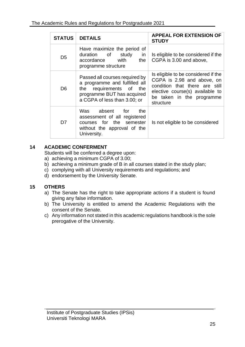| <b>STATUS</b>  | <b>DETAILS</b>                                                                                                                                           | <b>APPEAL FOR EXTENSION OF</b><br><b>STUDY</b>                                                                                                                                   |
|----------------|----------------------------------------------------------------------------------------------------------------------------------------------------------|----------------------------------------------------------------------------------------------------------------------------------------------------------------------------------|
| D <sub>5</sub> | Have maximize the period of<br>duration of<br>study<br>in<br>accordance with<br>the<br>programme structure                                               | Is eligible to be considered if the<br>CGPA is 3.00 and above,                                                                                                                   |
| D <sub>6</sub> | Passed all courses required by<br>a programme and fulfilled all<br>the requirements of the<br>programme BUT has acquired<br>a CGPA of less than 3.00; or | Is eligible to be considered if the<br>CGPA is 2.98 and above, on<br>condition that there are still<br>elective course(s) available to<br>be taken in the programme<br>structure |
| D7             | Was absent for<br>the<br>assessment of all registered<br>courses for the semester<br>without the approval of the<br>University.                          | Is not eligible to be considered                                                                                                                                                 |

# <span id="page-40-0"></span>**14 ACADEMIC CONFERMENT**

Students will be conferred a degree upon:

- a) achieving a minimum CGPA of 3.00;
- b) achieving a minimum grade of B in all courses stated in the study plan;
- c) complying with all University requirements and regulations; and
- d) endorsement by the University Senate.

# <span id="page-40-1"></span>**15 OTHERS**

- a) The Senate has the right to take appropriate actions if a student is found giving any false information.
- b) The University is entitled to amend the Academic Regulations with the consent of the Senate.
- c) Any information not stated in this academic regulations handbook is the sole prerogative of the University.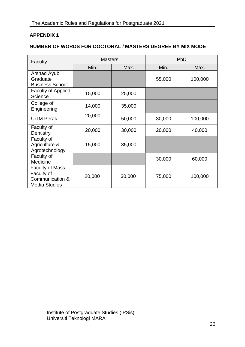# **APPENDIX 1**

# **NUMBER OF WORDS FOR DOCTORAL / MASTERS DEGREE BY MIX MODE**

| Faculty                                                                         | <b>Masters</b> |        | PhD    |         |
|---------------------------------------------------------------------------------|----------------|--------|--------|---------|
|                                                                                 | Min.           | Max.   | Min.   | Max.    |
| Arshad Ayub<br>Graduate<br><b>Business School</b>                               |                |        | 55,000 | 100,000 |
| <b>Faculty of Applied</b><br>Science                                            | 15,000         | 25,000 |        |         |
| College of<br>Engineering                                                       | 14,000         | 35,000 |        |         |
| <b>UiTM Perak</b>                                                               | 20,000         | 50,000 | 30,000 | 100,000 |
| Faculty of<br>Dentistry                                                         | 20,000         | 30,000 | 20,000 | 40,000  |
| Faculty of<br>Agriculture &<br>Agrotechnology                                   | 15,000         | 35,000 |        |         |
| Faculty of<br>Medicine                                                          |                |        | 30,000 | 60,000  |
| <b>Faculty of Mass</b><br>Faculty of<br>Communication &<br><b>Media Studies</b> | 20,000         | 30,000 | 75,000 | 100,000 |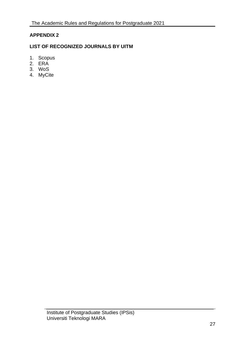# **APPENDIX 2**

# **LIST OF RECOGNIZED JOURNALS BY UITM**

- 1. Scopus
- 2. ERA
- 3. WoS
- 4. MyCite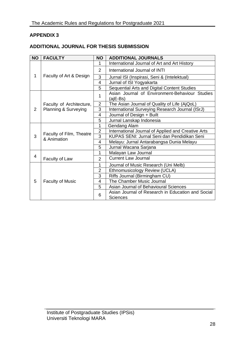# **APPENDIX 3**

# **ADDITIONAL JOURNAL FOR THESIS SUBMISSION**

| <b>NO</b> | <b>FACULTY</b>                          | <b>NO</b>      | <b>ADDITIONAL JOURNALS</b>                                    |
|-----------|-----------------------------------------|----------------|---------------------------------------------------------------|
|           |                                         | 1              | International Journal of Art and Art History                  |
|           |                                         | $\overline{2}$ | International Journal of INTI                                 |
| 1         | Faculty of Art & Design                 | 3              | Jurnal ISI (Inspirasi, Seni & (Intelektual)                   |
|           |                                         | $\overline{4}$ | Jurnal of ISI Yogyakarta                                      |
|           |                                         | 5              | Sequential Arts and Digital Content Studies                   |
|           |                                         | 1              | Asian Journal of Environment-Behaviour Studies<br>(ajE-Bs)    |
|           | Faculty of Architecture,                | $\overline{2}$ | The Asian Journal of Quality of Life (AjQoL)                  |
| 2         | Planning & Surveying                    | 3              | International Surveying Research Journal (ISrJ)               |
|           |                                         | 4              | Journal of Design + Built                                     |
|           |                                         | 5              | Jurnal Lanskap Indonesia                                      |
|           |                                         | 1              | Gendang Alam                                                  |
|           |                                         | $\overline{2}$ | International Journal of Applied and Creative Arts            |
| 3         | Faculty of Film, Theatre<br>& Animation | $\overline{3}$ | KUPAS SENI: Jurnal Seni dan Pendidikan Seni                   |
|           |                                         | 4              | Melayu: Jurnal Antarabangsa Dunia Melayu                      |
|           |                                         | 5              | Jurnal Wacana Sarjana                                         |
| 4         |                                         | 1              | Malayan Law Journal                                           |
|           | Faculty of Law                          | $\overline{2}$ | <b>Current Law Journal</b>                                    |
|           |                                         | 1              | Journal of Music Research (Uni Melb)                          |
|           |                                         | $\overline{2}$ | Ethnomusicology Review (UCLA)                                 |
|           | <b>Faculty of Music</b>                 | 3              | Riffs Journal (Birmingham CU)                                 |
| 5         |                                         | 4              | The Chamber Music Journal                                     |
|           |                                         | 5              | Asian Journal of Behavioural Sciences                         |
|           |                                         | 6              | Asian Journal of Research in Education and Social<br>Sciences |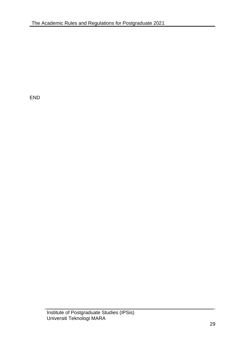END